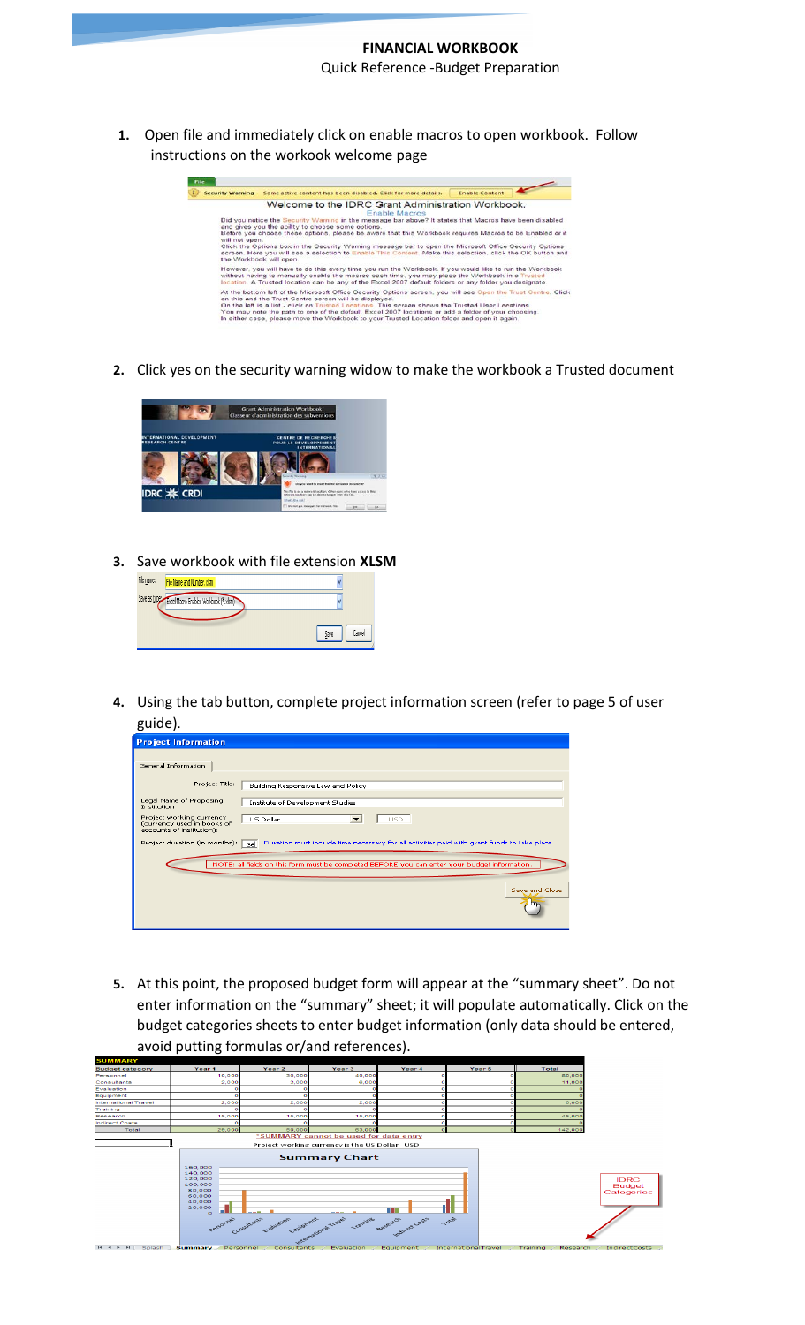**1.** Open file and immediately click on enable macros to open workbook. Follow instructions on the workook welcome page



**2.** Click yes on the security warning widow to make the workbook a Trusted document



**3.** Save workbook with file extension **XLSM**



**4.** Using the tab button, complete project information screen (refer to page 5 of user guide).

| <b>Project Information</b>                                                                                                          |
|-------------------------------------------------------------------------------------------------------------------------------------|
|                                                                                                                                     |
| General Information                                                                                                                 |
| Project Title:<br>Building Responsive Law and Policy                                                                                |
| Legal Name of Proposing<br>Institute of Development Studies<br>Institution:                                                         |
| Project working currency<br>US Dollar<br><b>USD</b><br>(currency used in books of<br>accounts of institution):                      |
| Project duration (in months):<br>Duration must include time necessary for all activities paid with grant funds to take place.<br>36 |
| NOTE: all fields on this form must be completed BEFORE you can enter your budget information.                                       |
| Save and Close                                                                                                                      |

**5.** At this point, the proposed budget form will appear at the "summary sheet". Do not enter information on the "summary" sheet; it will populate automatically. Click on the budget categories sheets to enter budget information (only data should be entered, avoid putting formulas or/and references).